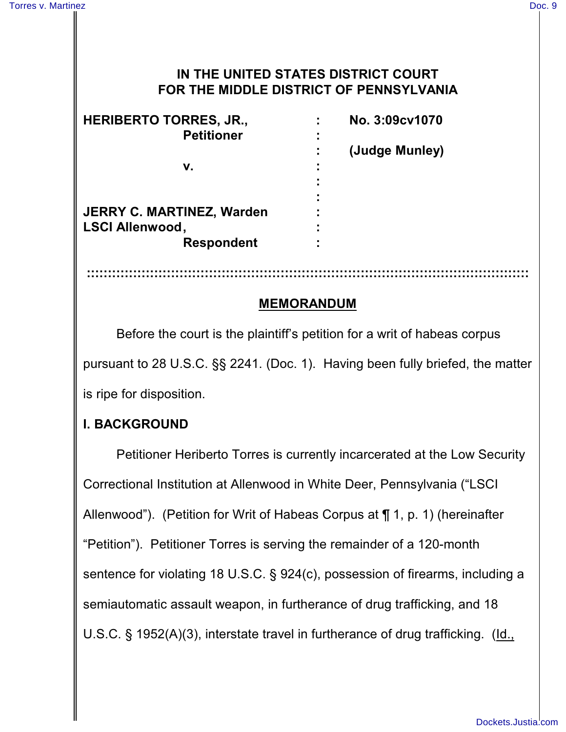### **IN THE UNITED STATES DISTRICT COURT FOR THE MIDDLE DISTRICT OF PENNSYLVANIA**

| <b>HERIBERTO TORRES, JR.,</b>    | No. 3:09cv1070 |
|----------------------------------|----------------|
| <b>Petitioner</b>                |                |
|                                  | (Judge Munley) |
| v.                               |                |
|                                  |                |
|                                  |                |
| <b>JERRY C. MARTINEZ, Warden</b> |                |
| <b>LSCI Allenwood,</b>           |                |
| <b>Respondent</b>                |                |

## **MEMORANDUM**

**:::::::::::::::::::::::::::::::::::::::::::::::::::::::::::::::::::::::::::::::::::::::::::::::::::::::::**

Before the court is the plaintiff's petition for a writ of habeas corpus pursuant to 28 U.S.C. §§ 2241. (Doc. 1). Having been fully briefed, the matter is ripe for disposition.

### **I. BACKGROUND**

Petitioner Heriberto Torres is currently incarcerated at the Low Security Correctional Institution at Allenwood in White Deer, Pennsylvania ("LSCI Allenwood"). (Petition for Writ of Habeas Corpus at ¶ 1, p. 1) (hereinafter "Petition"). Petitioner Torres is serving the remainder of a 120-month sentence for violating 18 U.S.C. § 924(c), possession of firearms, including a semiautomatic assault weapon, in furtherance of drug trafficking, and 18 U.S.C. § 1952(A)(3), interstate travel in furtherance of drug trafficking. (Id.,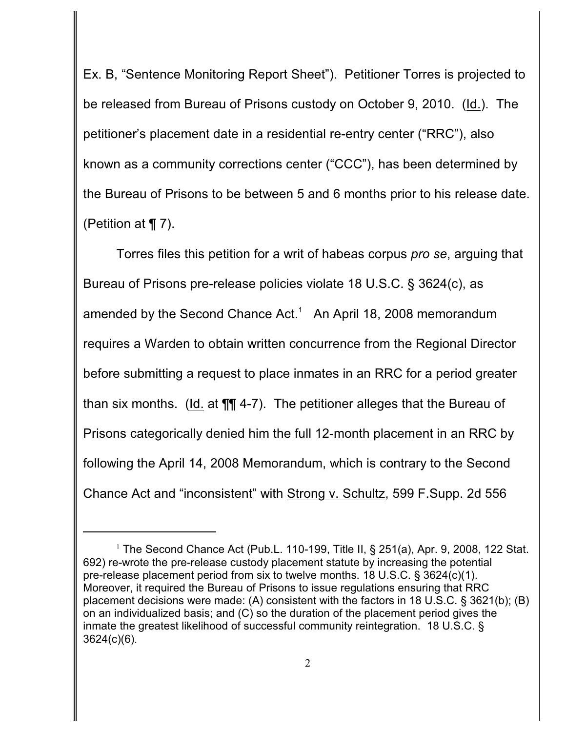Ex. B, "Sentence Monitoring Report Sheet"). Petitioner Torres is projected to be released from Bureau of Prisons custody on October 9, 2010. (Id.). The petitioner's placement date in a residential re-entry center ("RRC"), also known as a community corrections center ("CCC"), has been determined by the Bureau of Prisons to be between 5 and 6 months prior to his release date. (Petition at ¶ 7).

Torres files this petition for a writ of habeas corpus *pro se*, arguing that Bureau of Prisons pre-release policies violate 18 U.S.C. § 3624(c), as amended by the Second Chance Act.<sup>1</sup> An April 18, 2008 memorandum requires a Warden to obtain written concurrence from the Regional Director before submitting a request to place inmates in an RRC for a period greater than six months. (Id. at ¶¶ 4-7). The petitioner alleges that the Bureau of Prisons categorically denied him the full 12-month placement in an RRC by following the April 14, 2008 Memorandum, which is contrary to the Second Chance Act and "inconsistent" with Strong v. Schultz, 599 F.Supp. 2d 556

<sup>&</sup>lt;sup>1</sup> The Second Chance Act (Pub.L. 110-199, Title II, § 251(a), Apr. 9, 2008, 122 Stat. 692) re-wrote the pre-release custody placement statute by increasing the potential pre-release placement period from six to twelve months. 18 U.S.C. § 3624(c)(1). Moreover, it required the Bureau of Prisons to issue regulations ensuring that RRC placement decisions were made: (A) consistent with the factors in 18 U.S.C. § 3621(b); (B) on an individualized basis; and (C) so the duration of the placement period gives the inmate the greatest likelihood of successful community reintegration. 18 U.S.C. § 3624(c)(6).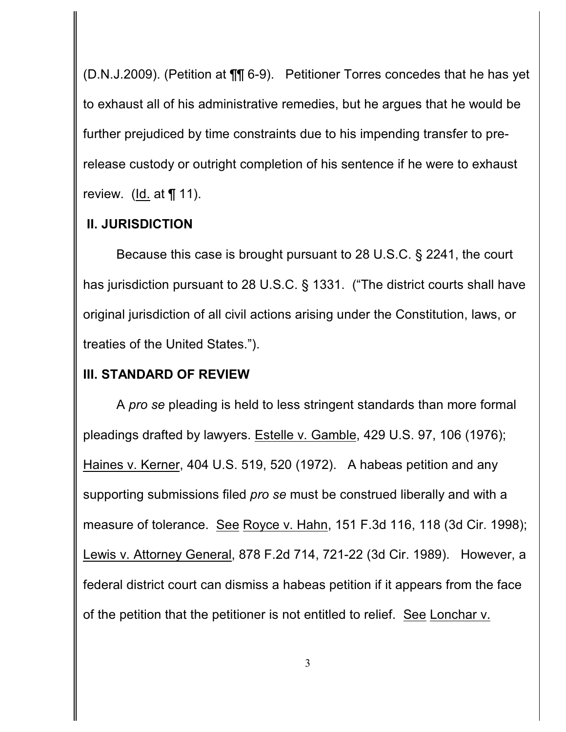(D.N.J.2009). (Petition at ¶¶ 6-9). Petitioner Torres concedes that he has yet to exhaust all of his administrative remedies, but he argues that he would be further prejudiced by time constraints due to his impending transfer to prerelease custody or outright completion of his sentence if he were to exhaust review.  $(\underline{\mathsf{Id}})$  at  $\P$  11).

### **II. JURISDICTION**

Because this case is brought pursuant to 28 U.S.C. § 2241, the court has jurisdiction pursuant to 28 U.S.C. § 1331. ("The district courts shall have original jurisdiction of all civil actions arising under the Constitution, laws, or treaties of the United States.").

### **III. STANDARD OF REVIEW**

A *pro se* pleading is held to less stringent standards than more formal pleadings drafted by lawyers. Estelle v. Gamble, 429 U.S. 97, 106 (1976); Haines v. Kerner, 404 U.S. 519, 520 (1972). A habeas petition and any supporting submissions filed *pro se* must be construed liberally and with a measure of tolerance. See Royce v. Hahn, 151 F.3d 116, 118 (3d Cir. 1998); Lewis v. Attorney General, 878 F.2d 714, 721-22 (3d Cir. 1989). However, a federal district court can dismiss a habeas petition if it appears from the face of the petition that the petitioner is not entitled to relief. See Lonchar v.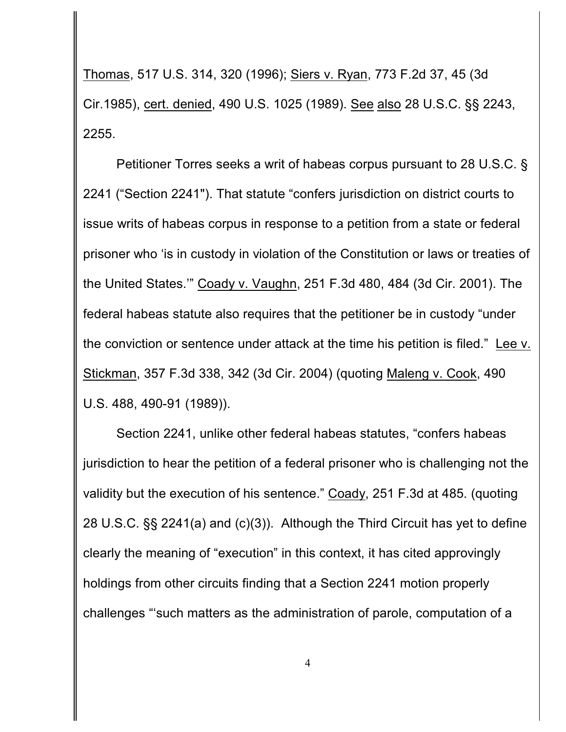Thomas, 517 U.S. 314, 320 (1996); Siers v. Ryan, 773 F.2d 37, 45 (3d Cir.1985), cert. denied, 490 U.S. 1025 (1989). See also 28 U.S.C. §§ 2243, 2255.

Petitioner Torres seeks a writ of habeas corpus pursuant to 28 U.S.C. § 2241 ("Section 2241"). That statute "confers jurisdiction on district courts to issue writs of habeas corpus in response to a petition from a state or federal prisoner who 'is in custody in violation of the Constitution or laws or treaties of the United States.'" Coady v. Vaughn, 251 F.3d 480, 484 (3d Cir. 2001). The federal habeas statute also requires that the petitioner be in custody "under the conviction or sentence under attack at the time his petition is filed." Lee v. Stickman, 357 F.3d 338, 342 (3d Cir. 2004) (quoting Maleng v. Cook, 490 U.S. 488, 490-91 (1989)).

Section 2241, unlike other federal habeas statutes, "confers habeas jurisdiction to hear the petition of a federal prisoner who is challenging not the validity but the execution of his sentence." Coady, 251 F.3d at 485. (quoting 28 U.S.C. §§ 2241(a) and (c)(3)). Although the Third Circuit has yet to define clearly the meaning of "execution" in this context, it has cited approvingly holdings from other circuits finding that a Section 2241 motion properly challenges "'such matters as the administration of parole, computation of a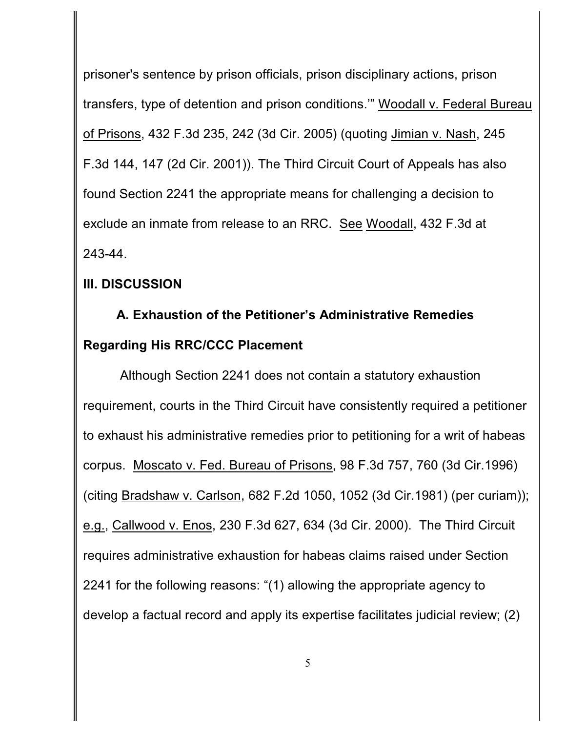prisoner's sentence by prison officials, prison disciplinary actions, prison transfers, type of detention and prison conditions.'" Woodall v. Federal Bureau of Prisons, 432 F.3d 235, 242 (3d Cir. 2005) (quoting Jimian v. Nash, 245 F.3d 144, 147 (2d Cir. 2001)). The Third Circuit Court of Appeals has also found Section 2241 the appropriate means for challenging a decision to exclude an inmate from release to an RRC. See Woodall, 432 F.3d at 243-44.

### **III. DISCUSSION**

# **A. Exhaustion of the Petitioner's Administrative Remedies Regarding His RRC/CCC Placement**

 Although Section 2241 does not contain a statutory exhaustion requirement, courts in the Third Circuit have consistently required a petitioner to exhaust his administrative remedies prior to petitioning for a writ of habeas corpus. Moscato v. Fed. Bureau of Prisons, 98 F.3d 757, 760 (3d Cir.1996) (citing Bradshaw v. Carlson, 682 F.2d 1050, 1052 (3d Cir.1981) (per curiam)); e.g., Callwood v. Enos, 230 F.3d 627, 634 (3d Cir. 2000). The Third Circuit requires administrative exhaustion for habeas claims raised under Section 2241 for the following reasons: "(1) allowing the appropriate agency to develop a factual record and apply its expertise facilitates judicial review; (2)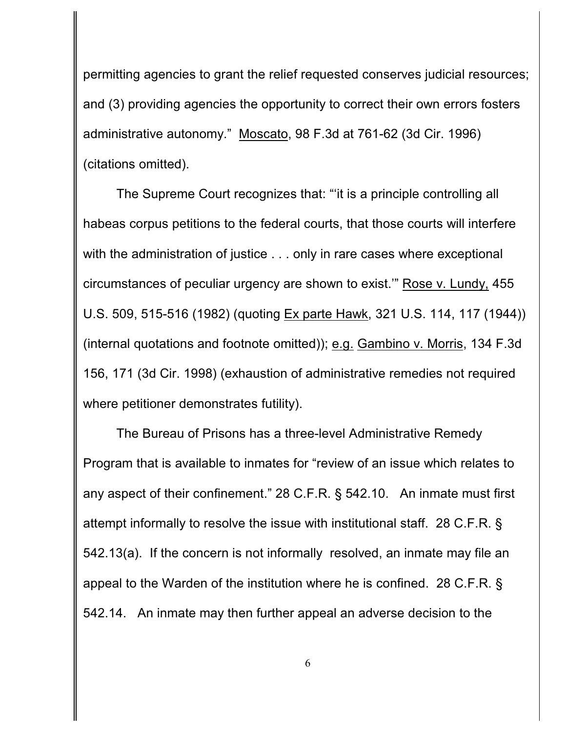permitting agencies to grant the relief requested conserves judicial resources; and (3) providing agencies the opportunity to correct their own errors fosters administrative autonomy." Moscato, 98 F.3d at 761-62 (3d Cir. 1996) (citations omitted).

The Supreme Court recognizes that: "'it is a principle controlling all habeas corpus petitions to the federal courts, that those courts will interfere with the administration of justice . . . only in rare cases where exceptional circumstances of peculiar urgency are shown to exist.'" Rose v. Lundy, 455 U.S. 509, 515-516 (1982) (quoting Ex parte Hawk, 321 U.S. 114, 117 (1944)) (internal quotations and footnote omitted)); e.g. Gambino v. Morris, 134 F.3d 156, 171 (3d Cir. 1998) (exhaustion of administrative remedies not required where petitioner demonstrates futility).

The Bureau of Prisons has a three-level Administrative Remedy Program that is available to inmates for "review of an issue which relates to any aspect of their confinement." 28 C.F.R. § 542.10. An inmate must first attempt informally to resolve the issue with institutional staff. 28 C.F.R. § 542.13(a). If the concern is not informally resolved, an inmate may file an appeal to the Warden of the institution where he is confined. 28 C.F.R. § 542.14. An inmate may then further appeal an adverse decision to the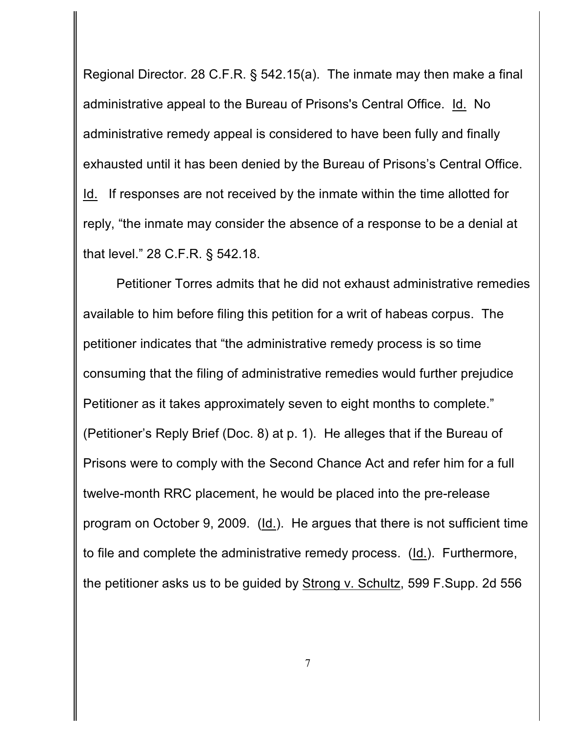Regional Director. 28 C.F.R. § 542.15(a). The inmate may then make a final administrative appeal to the Bureau of Prisons's Central Office. Id. No administrative remedy appeal is considered to have been fully and finally exhausted until it has been denied by the Bureau of Prisons's Central Office. Id. If responses are not received by the inmate within the time allotted for reply, "the inmate may consider the absence of a response to be a denial at that level." 28 C.F.R. § 542.18.

Petitioner Torres admits that he did not exhaust administrative remedies available to him before filing this petition for a writ of habeas corpus. The petitioner indicates that "the administrative remedy process is so time consuming that the filing of administrative remedies would further prejudice Petitioner as it takes approximately seven to eight months to complete." (Petitioner's Reply Brief (Doc. 8) at p. 1). He alleges that if the Bureau of Prisons were to comply with the Second Chance Act and refer him for a full twelve-month RRC placement, he would be placed into the pre-release program on October 9, 2009. (Id.). He argues that there is not sufficient time to file and complete the administrative remedy process. (Id.). Furthermore, the petitioner asks us to be guided by Strong v. Schultz, 599 F. Supp. 2d 556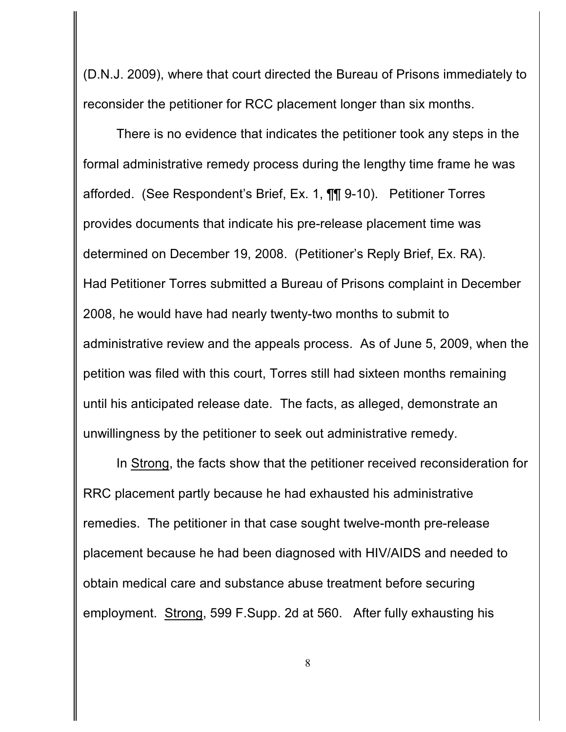(D.N.J. 2009), where that court directed the Bureau of Prisons immediately to reconsider the petitioner for RCC placement longer than six months.

There is no evidence that indicates the petitioner took any steps in the formal administrative remedy process during the lengthy time frame he was afforded. (See Respondent's Brief, Ex. 1, ¶¶ 9-10). Petitioner Torres provides documents that indicate his pre-release placement time was determined on December 19, 2008. (Petitioner's Reply Brief, Ex. RA). Had Petitioner Torres submitted a Bureau of Prisons complaint in December 2008, he would have had nearly twenty-two months to submit to administrative review and the appeals process. As of June 5, 2009, when the petition was filed with this court, Torres still had sixteen months remaining until his anticipated release date. The facts, as alleged, demonstrate an unwillingness by the petitioner to seek out administrative remedy.

In Strong, the facts show that the petitioner received reconsideration for RRC placement partly because he had exhausted his administrative remedies. The petitioner in that case sought twelve-month pre-release placement because he had been diagnosed with HIV/AIDS and needed to obtain medical care and substance abuse treatment before securing employment. Strong, 599 F.Supp. 2d at 560. After fully exhausting his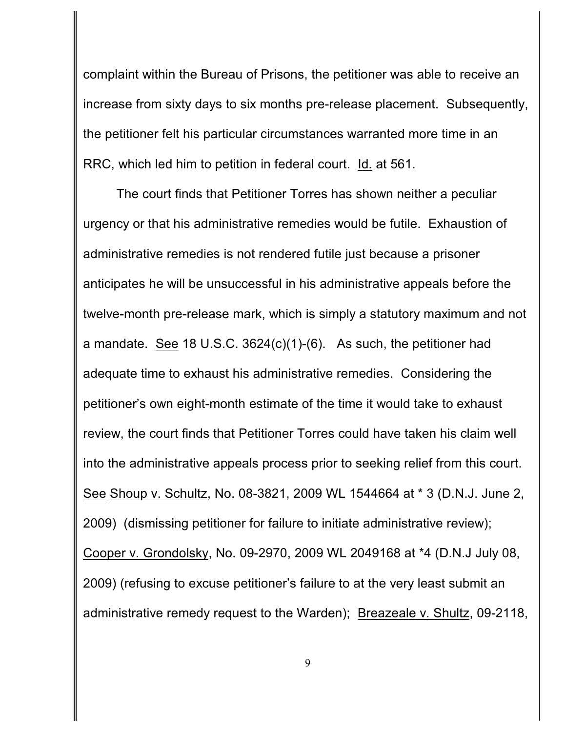complaint within the Bureau of Prisons, the petitioner was able to receive an increase from sixty days to six months pre-release placement. Subsequently, the petitioner felt his particular circumstances warranted more time in an RRC, which led him to petition in federal court. Id. at 561.

The court finds that Petitioner Torres has shown neither a peculiar urgency or that his administrative remedies would be futile. Exhaustion of administrative remedies is not rendered futile just because a prisoner anticipates he will be unsuccessful in his administrative appeals before the twelve-month pre-release mark, which is simply a statutory maximum and not a mandate. See 18 U.S.C. 3624(c)(1)-(6). As such, the petitioner had adequate time to exhaust his administrative remedies. Considering the petitioner's own eight-month estimate of the time it would take to exhaust review, the court finds that Petitioner Torres could have taken his claim well into the administrative appeals process prior to seeking relief from this court. See Shoup v. Schultz, No. 08-3821, 2009 WL 1544664 at \* 3 (D.N.J. June 2, 2009) (dismissing petitioner for failure to initiate administrative review); Cooper v. Grondolsky, No. 09-2970, 2009 WL 2049168 at \*4 (D.N.J July 08, 2009) (refusing to excuse petitioner's failure to at the very least submit an administrative remedy request to the Warden); Breazeale v. Shultz, 09-2118,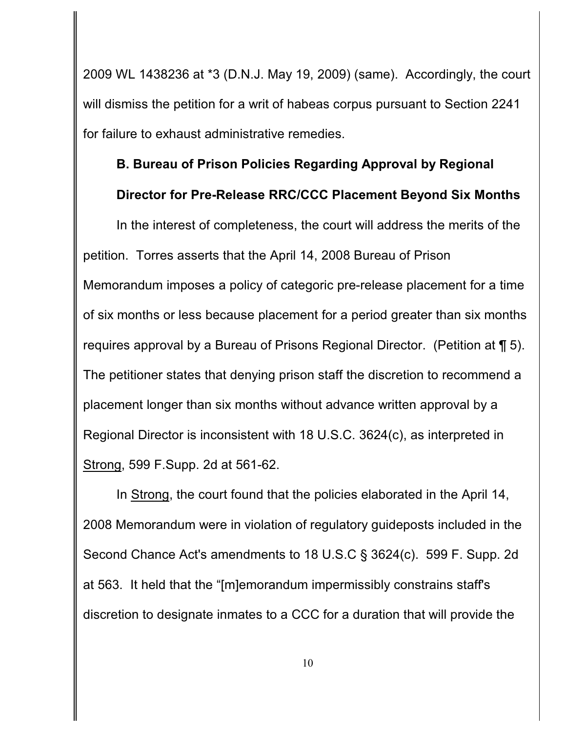2009 WL 1438236 at \*3 (D.N.J. May 19, 2009) (same). Accordingly, the court will dismiss the petition for a writ of habeas corpus pursuant to Section 2241 for failure to exhaust administrative remedies.

### **B. Bureau of Prison Policies Regarding Approval by Regional**

### **Director for Pre-Release RRC/CCC Placement Beyond Six Months**

In the interest of completeness, the court will address the merits of the petition. Torres asserts that the April 14, 2008 Bureau of Prison Memorandum imposes a policy of categoric pre-release placement for a time of six months or less because placement for a period greater than six months requires approval by a Bureau of Prisons Regional Director. (Petition at ¶ 5). The petitioner states that denying prison staff the discretion to recommend a placement longer than six months without advance written approval by a Regional Director is inconsistent with 18 U.S.C. 3624(c), as interpreted in Strong, 599 F.Supp. 2d at 561-62.

In Strong, the court found that the policies elaborated in the April 14, 2008 Memorandum were in violation of regulatory guideposts included in the Second Chance Act's amendments to 18 U.S.C § 3624(c). 599 F. Supp. 2d at 563. It held that the "[m]emorandum impermissibly constrains staff's discretion to designate inmates to a CCC for a duration that will provide the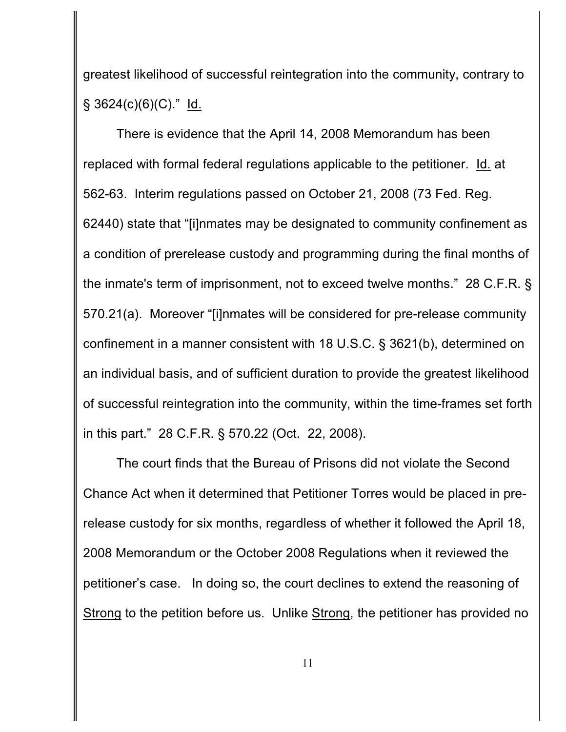greatest likelihood of successful reintegration into the community, contrary to  $\S$  3624(c)(6)(C)." Id.

There is evidence that the April 14, 2008 Memorandum has been replaced with formal federal regulations applicable to the petitioner. Id. at 562-63. Interim regulations passed on October 21, 2008 (73 Fed. Reg. 62440) state that "[i]nmates may be designated to community confinement as a condition of prerelease custody and programming during the final months of the inmate's term of imprisonment, not to exceed twelve months." 28 C.F.R. § 570.21(a). Moreover "[i]nmates will be considered for pre-release community confinement in a manner consistent with 18 U.S.C. § 3621(b), determined on an individual basis, and of sufficient duration to provide the greatest likelihood of successful reintegration into the community, within the time-frames set forth in this part." 28 C.F.R. § 570.22 (Oct. 22, 2008).

The court finds that the Bureau of Prisons did not violate the Second Chance Act when it determined that Petitioner Torres would be placed in prerelease custody for six months, regardless of whether it followed the April 18, 2008 Memorandum or the October 2008 Regulations when it reviewed the petitioner's case. In doing so, the court declines to extend the reasoning of Strong to the petition before us. Unlike Strong, the petitioner has provided no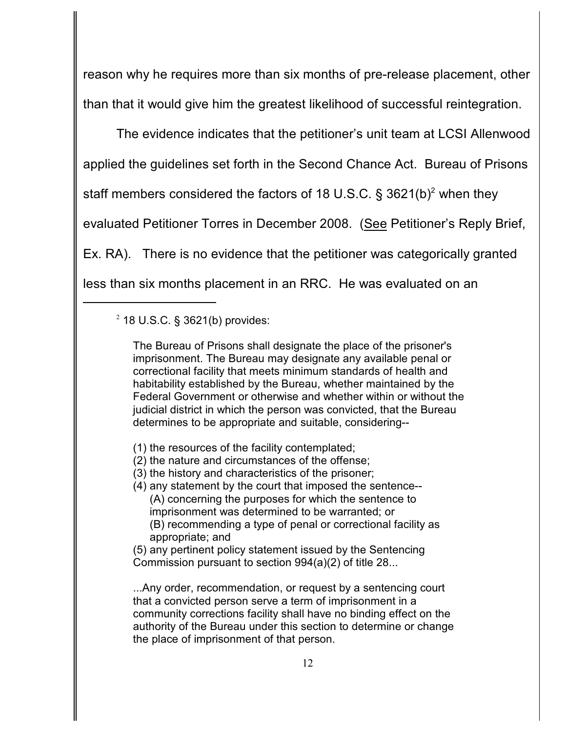reason why he requires more than six months of pre-release placement, other than that it would give him the greatest likelihood of successful reintegration.

The evidence indicates that the petitioner's unit team at LCSI Allenwood applied the guidelines set forth in the Second Chance Act. Bureau of Prisons staff members considered the factors of 18 U.S.C.  $\S$  3621(b)<sup>2</sup> when they evaluated Petitioner Torres in December 2008. (See Petitioner's Reply Brief, Ex. RA). There is no evidence that the petitioner was categorically granted less than six months placement in an RRC. He was evaluated on an

The Bureau of Prisons shall designate the place of the prisoner's imprisonment. The Bureau may designate any available penal or correctional facility that meets minimum standards of health and habitability established by the Bureau, whether maintained by the Federal Government or otherwise and whether within or without the judicial district in which the person was convicted, that the Bureau determines to be appropriate and suitable, considering--

- (1) the resources of the facility contemplated;
- (2) the nature and circumstances of the offense;
- (3) the history and characteristics of the prisoner;
- (4) any statement by the court that imposed the sentence-- (A) concerning the purposes for which the sentence to imprisonment was determined to be warranted; or (B) recommending a type of penal or correctional facility as appropriate; and

(5) any pertinent policy statement issued by the Sentencing Commission pursuant to section 994(a)(2) of title 28...

...Any order, recommendation, or request by a sentencing court that a convicted person serve a term of imprisonment in a community corrections facility shall have no binding effect on the authority of the Bureau under this section to determine or change the place of imprisonment of that person.

 $2$  18 U.S.C. § 3621(b) provides: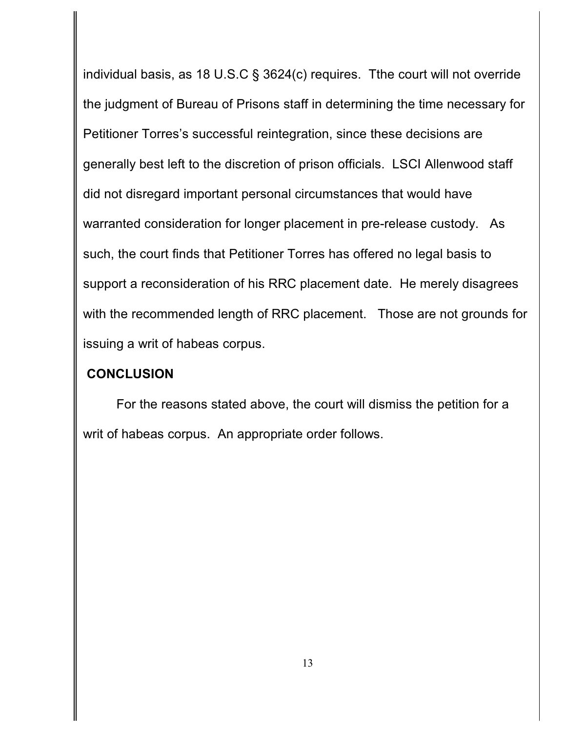individual basis, as 18 U.S.C § 3624(c) requires. Tthe court will not override the judgment of Bureau of Prisons staff in determining the time necessary for Petitioner Torres's successful reintegration, since these decisions are generally best left to the discretion of prison officials. LSCI Allenwood staff did not disregard important personal circumstances that would have warranted consideration for longer placement in pre-release custody. As such, the court finds that Petitioner Torres has offered no legal basis to support a reconsideration of his RRC placement date. He merely disagrees with the recommended length of RRC placement. Those are not grounds for issuing a writ of habeas corpus.

### **CONCLUSION**

For the reasons stated above, the court will dismiss the petition for a writ of habeas corpus. An appropriate order follows.